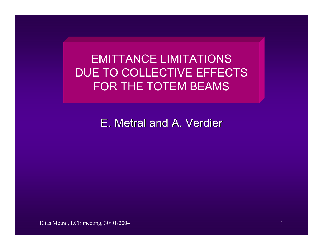EMITTANCE LIMITATIONS DUE TO COLLECTIVE EFFECTS FOR THE TOTEM BEAMS

E. Metral and A. Verdier

Elias Metral, LCE meeting, 30/01/2004 1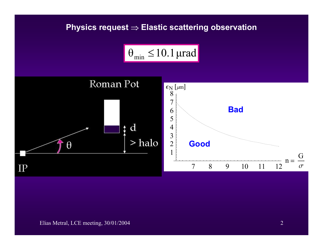## **Physics request** <sup>⇒</sup> **Elastic scattering observation**



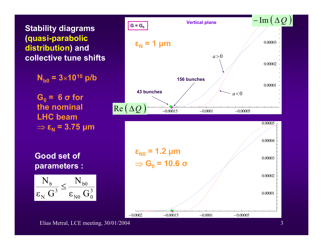**Stability diagrams (quasi-parabolic distribution) and collective tune shifts**

**Nb0 = 3**×**1010 p/b**

 $G_0 = 6 \sigma$  for **the nominal LHC beam**  ⇒ **<sup>ε</sup><sup>N</sup> = 3.75 µm**

**Good set of parameters :**







Elias Metral, LCE meeting, 30/01/2004 3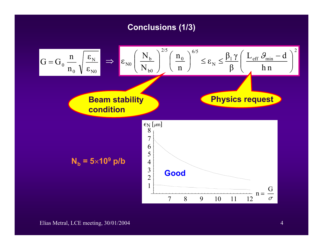## **Conclusions (1/3)**

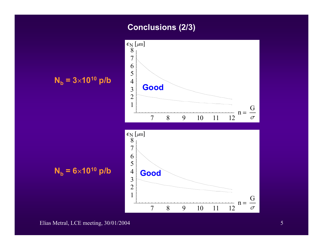## **Conclusions (2/3)**